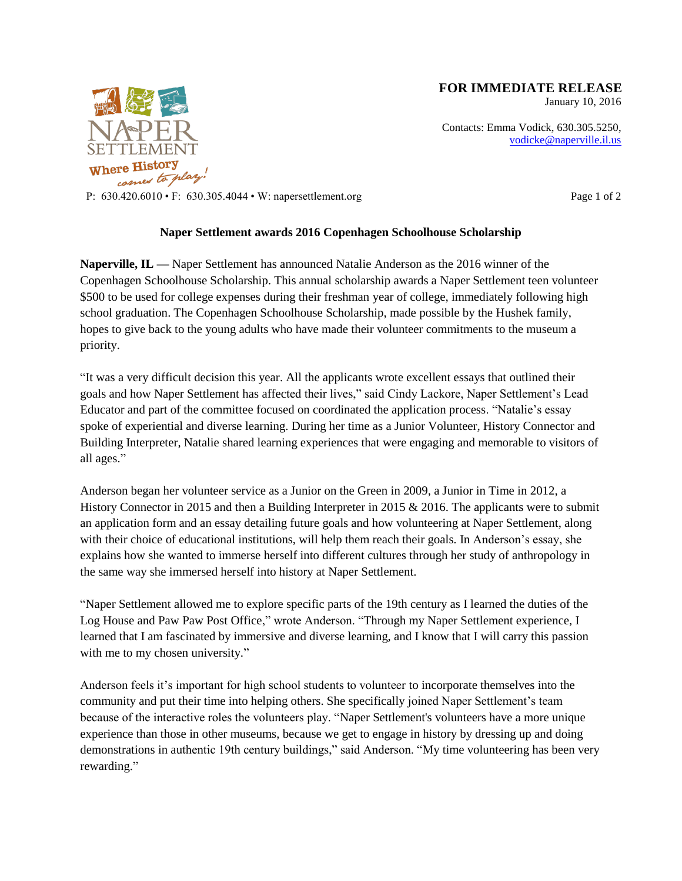

**FOR IMMEDIATE RELEASE**

January 10, 2016

Contacts: Emma Vodick, 630.305.5250, vodicke@naperville.il.us

P: 630.420.6010 • F: 630.305.4044 • W: napersettlement.org Page 1 of 2

## **Naper Settlement awards 2016 Copenhagen Schoolhouse Scholarship**

**Naperville, IL —** Naper Settlement has announced Natalie Anderson as the 2016 winner of the Copenhagen Schoolhouse Scholarship. This annual scholarship awards a Naper Settlement teen volunteer \$500 to be used for college expenses during their freshman year of college, immediately following high school graduation. The Copenhagen Schoolhouse Scholarship, made possible by the Hushek family, hopes to give back to the young adults who have made their volunteer commitments to the museum a priority.

"It was a very difficult decision this year. All the applicants wrote excellent essays that outlined their goals and how Naper Settlement has affected their lives," said Cindy Lackore, Naper Settlement's Lead Educator and part of the committee focused on coordinated the application process. "Natalie's essay spoke of experiential and diverse learning. During her time as a Junior Volunteer, History Connector and Building Interpreter, Natalie shared learning experiences that were engaging and memorable to visitors of all ages."

Anderson began her volunteer service as a Junior on the Green in 2009, a Junior in Time in 2012, a History Connector in 2015 and then a Building Interpreter in 2015 & 2016. The applicants were to submit an application form and an essay detailing future goals and how volunteering at Naper Settlement, along with their choice of educational institutions, will help them reach their goals. In Anderson's essay, she explains how she wanted to immerse herself into different cultures through her study of anthropology in the same way she immersed herself into history at Naper Settlement.

"Naper Settlement allowed me to explore specific parts of the 19th century as I learned the duties of the Log House and Paw Paw Post Office," wrote Anderson. "Through my Naper Settlement experience, I learned that I am fascinated by immersive and diverse learning, and I know that I will carry this passion with me to my chosen university."

Anderson feels it's important for high school students to volunteer to incorporate themselves into the community and put their time into helping others. She specifically joined Naper Settlement's team because of the interactive roles the volunteers play. "Naper Settlement's volunteers have a more unique experience than those in other museums, because we get to engage in history by dressing up and doing demonstrations in authentic 19th century buildings," said Anderson. "My time volunteering has been very rewarding."